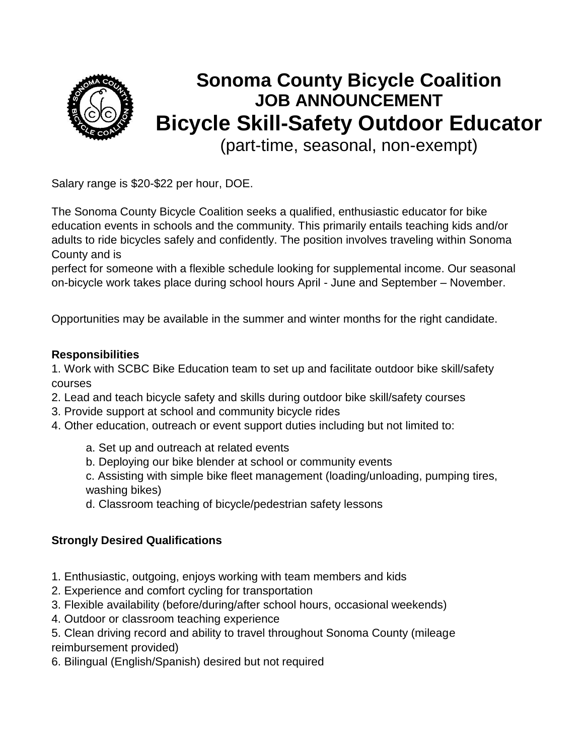

# **Sonoma County Bicycle Coalition JOB ANNOUNCEMENT Bicycle Skill-Safety Outdoor Educator**

(part-time, seasonal, non-exempt)

Salary range is \$20-\$22 per hour, DOE.

The Sonoma County Bicycle Coalition seeks a qualified, enthusiastic educator for bike education events in schools and the community. This primarily entails teaching kids and/or adults to ride bicycles safely and confidently. The position involves traveling within Sonoma County and is

perfect for someone with a flexible schedule looking for supplemental income. Our seasonal on-bicycle work takes place during school hours April - June and September – November.

Opportunities may be available in the summer and winter months for the right candidate.

## **Responsibilities**

1. Work with SCBC Bike Education team to set up and facilitate outdoor bike skill/safety courses

- 2. Lead and teach bicycle safety and skills during outdoor bike skill/safety courses
- 3. Provide support at school and community bicycle rides
- 4. Other education, outreach or event support duties including but not limited to:
	- a. Set up and outreach at related events
	- b. Deploying our bike blender at school or community events
	- c. Assisting with simple bike fleet management (loading/unloading, pumping tires, washing bikes)
	- d. Classroom teaching of bicycle/pedestrian safety lessons

# **Strongly Desired Qualifications**

- 1. Enthusiastic, outgoing, enjoys working with team members and kids
- 2. Experience and comfort cycling for transportation
- 3. Flexible availability (before/during/after school hours, occasional weekends)
- 4. Outdoor or classroom teaching experience

5. Clean driving record and ability to travel throughout Sonoma County (mileage reimbursement provided)

6. Bilingual (English/Spanish) desired but not required